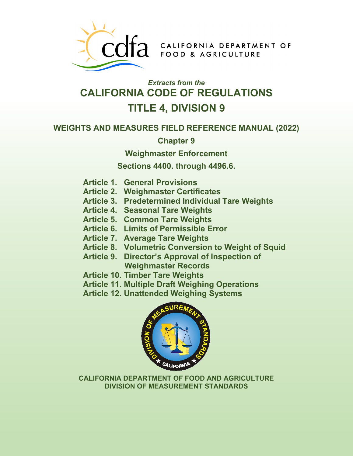

COTA CALIFORNIA DEPARTMENT OF

# *Extracts from the* **CALIFORNIA CODE OF REGULATIONS TITLE 4, DIVISION 9**

### **WEIGHTS AND MEASURES FIELD REFERENCE MANUAL (2022)**

**Chapter 9** 

**Weighmaster Enforcement** 

**Sections 4400. through 4496.6.** 

- **Article 1. General Provisions**
- **Article 2. Weighmaster Certificates**
- **Article 3. Predetermined Individual Tare Weights**
- **Article 4. Seasonal Tare Weights**
- **Article 5. Common Tare Weights**
- **Article 6. Limits of Permissible Error**
- **Article 7. Average Tare Weights**
- **Article 8. Volumetric Conversion to Weight of Squid**
- **Article 9. Director's Approval of Inspection of Weighmaster Records**
- **Article 10. Timber Tare Weights**
- **Article 11. Multiple Draft Weighing Operations**
- **Article 12. Unattended Weighing Systems**



**CALIFORNIA DEPARTMENT OF FOOD AND AGRICULTURE DIVISION OF MEASUREMENT STANDARDS**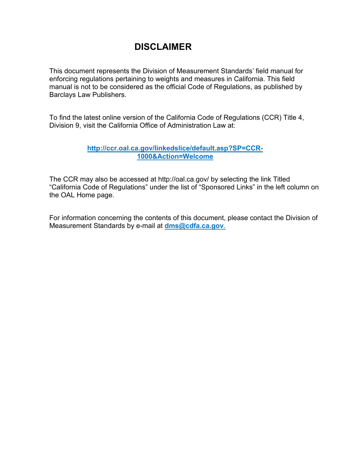# **DISCLAIMER**

This document represents the Division of Measurement Standards' field manual for enforcing regulations pertaining to weights and measures in California. This field manual is not to be considered as the official Code of Regulations, as published by Barclays Law Publishers.

To find the latest online version of the California Code of Regulations (CCR) Title 4, Division 9, visit the California Office of Administration Law at:

#### **[http://ccr.oal.ca.gov/linkedslice/default.asp?SP=CCR-](http://ccr.oal.ca.gov/linkedslice/default.asp?SP=CCR-1000&Action=Welcome)[1000&Action=Welcome](http://ccr.oal.ca.gov/linkedslice/default.asp?SP=CCR-1000&Action=Welcome)**

The CCR may also be accessed at<http://oal.ca.gov/> by selecting the link Titled "California Code of Regulations" under the list of "Sponsored Links" in the left column on the OAL Home page.

For information concerning the contents of this document, please contact the Division of Measurement Standards by e-mail at **[dms@cdfa.ca.gov](mailto:dms@cdfa.ca.gov)**.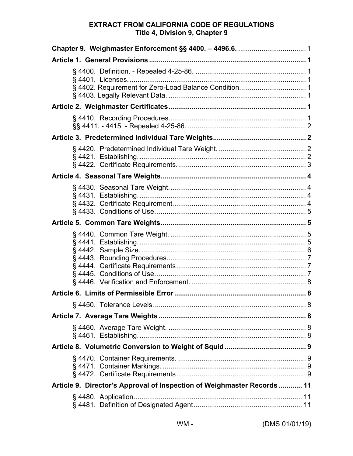### **EXTRACT FROM CALIFORNIA CODE OF REGULATIONS** Title 4, Division 9, Chapter 9

|  | § 4402. Requirement for Zero-Load Balance Condition.  1                 |  |  |
|--|-------------------------------------------------------------------------|--|--|
|  |                                                                         |  |  |
|  |                                                                         |  |  |
|  |                                                                         |  |  |
|  |                                                                         |  |  |
|  |                                                                         |  |  |
|  |                                                                         |  |  |
|  |                                                                         |  |  |
|  |                                                                         |  |  |
|  |                                                                         |  |  |
|  |                                                                         |  |  |
|  |                                                                         |  |  |
|  |                                                                         |  |  |
|  |                                                                         |  |  |
|  |                                                                         |  |  |
|  | Article 9. Director's Approval of Inspection of Weighmaster Records  11 |  |  |
|  |                                                                         |  |  |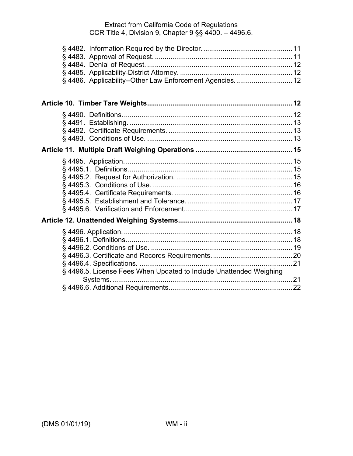| § 4486. Applicability--Other Law Enforcement Agencies 12           |  |
|--------------------------------------------------------------------|--|
|                                                                    |  |
|                                                                    |  |
|                                                                    |  |
|                                                                    |  |
|                                                                    |  |
|                                                                    |  |
|                                                                    |  |
|                                                                    |  |
|                                                                    |  |
|                                                                    |  |
|                                                                    |  |
|                                                                    |  |
|                                                                    |  |
|                                                                    |  |
|                                                                    |  |
|                                                                    |  |
|                                                                    |  |
|                                                                    |  |
|                                                                    |  |
| § 4496.5. License Fees When Updated to Include Unattended Weighing |  |
|                                                                    |  |
|                                                                    |  |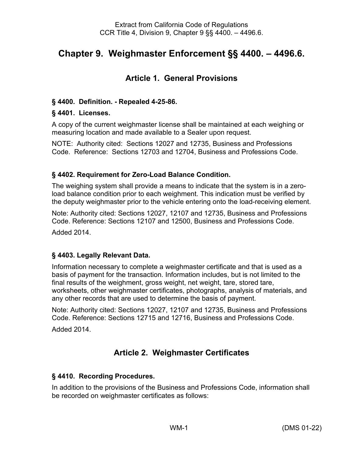# <span id="page-4-0"></span>**Chapter 9. Weighmaster Enforcement §§ 4400. – 4496.6.**

## **Article 1. General Provisions**

#### <span id="page-4-2"></span><span id="page-4-1"></span>**§ 4400. Definition. - Repealed 4-25-86.**

#### <span id="page-4-3"></span>**§ 4401. Licenses.**

A copy of the current weighmaster license shall be maintained at each weighing or measuring location and made available to a Sealer upon request.

NOTE: Authority cited: Sections 12027 and 12735, Business and Professions Code. Reference: Sections 12703 and 12704, Business and Professions Code.

#### <span id="page-4-4"></span>**§ 4402. Requirement for Zero-Load Balance Condition.**

The weighing system shall provide a means to indicate that the system is in a zeroload balance condition prior to each weighment. This indication must be verified by the deputy weighmaster prior to the vehicle entering onto the load-receiving element.

Note: Authority cited: Sections 12027, 12107 and 12735, Business and Professions Code. Reference: Sections 12107 and 12500, Business and Professions Code. Added 2014.

### <span id="page-4-5"></span>**§ 4403. Legally Relevant Data.**

Information necessary to complete a weighmaster certificate and that is used as a basis of payment for the transaction. Information includes, but is not limited to the final results of the weighment, gross weight, net weight, tare, stored tare, worksheets, other weighmaster certificates, photographs, analysis of materials, and any other records that are used to determine the basis of payment.

Note: Authority cited: Sections 12027, 12107 and 12735, Business and Professions Code. Reference: Sections 12715 and 12716, Business and Professions Code.

<span id="page-4-6"></span>Added 2014.

### **Article 2. Weighmaster Certificates**

### <span id="page-4-7"></span>**§ 4410. Recording Procedures.**

In addition to the provisions of the Business and Professions Code, information shall be recorded on weighmaster certificates as follows: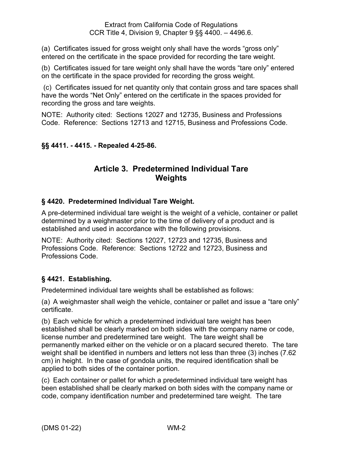(a) Certificates issued for gross weight only shall have the words "gross only" entered on the certificate in the space provided for recording the tare weight.

(b) Certificates issued for tare weight only shall have the words "tare only" entered on the certificate in the space provided for recording the gross weight.

(c) Certificates issued for net quantity only that contain gross and tare spaces shall have the words "Net Only" entered on the certificate in the spaces provided for recording the gross and tare weights.

NOTE: Authority cited: Sections 12027 and 12735, Business and Professions Code. Reference: Sections 12713 and 12715, Business and Professions Code.

### <span id="page-5-1"></span><span id="page-5-0"></span>**§§ 4411. - 4415. - Repealed 4-25-86.**

### **Article 3. Predetermined Individual Tare Weights**

### <span id="page-5-2"></span>**§ 4420. Predetermined Individual Tare Weight.**

A pre-determined individual tare weight is the weight of a vehicle, container or pallet determined by a weighmaster prior to the time of delivery of a product and is established and used in accordance with the following provisions.

NOTE: Authority cited: Sections 12027, 12723 and 12735, Business and Professions Code. Reference: Sections 12722 and 12723, Business and Professions Code.

### <span id="page-5-3"></span>**§ 4421. Establishing.**

Predetermined individual tare weights shall be established as follows:

(a) A weighmaster shall weigh the vehicle, container or pallet and issue a "tare only" certificate.

(b) Each vehicle for which a predetermined individual tare weight has been established shall be clearly marked on both sides with the company name or code, license number and predetermined tare weight. The tare weight shall be permanently marked either on the vehicle or on a placard secured thereto. The tare weight shall be identified in numbers and letters not less than three (3) inches (7.62 cm) in height. In the case of gondola units, the required identification shall be applied to both sides of the container portion.

(c) Each container or pallet for which a predetermined individual tare weight has been established shall be clearly marked on both sides with the company name or code, company identification number and predetermined tare weight. The tare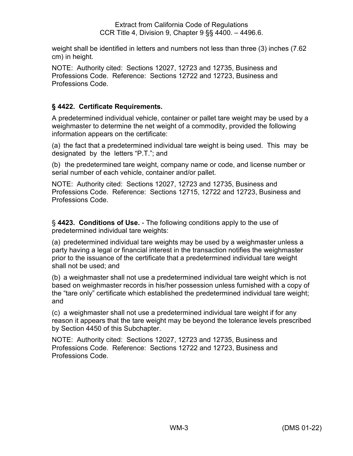weight shall be identified in letters and numbers not less than three (3) inches (7.62 cm) in height.

NOTE: Authority cited: Sections 12027, 12723 and 12735, Business and Professions Code. Reference: Sections 12722 and 12723, Business and Professions Code.

### <span id="page-6-0"></span>**§ 4422. Certificate Requirements.**

A predetermined individual vehicle, container or pallet tare weight may be used by a weighmaster to determine the net weight of a commodity, provided the following information appears on the certificate:

(a) the fact that a predetermined individual tare weight is being used. This may be designated by the letters "P.T."; and

(b) the predetermined tare weight, company name or code, and license number or serial number of each vehicle, container and/or pallet.

NOTE: Authority cited: Sections 12027, 12723 and 12735, Business and Professions Code. Reference: Sections 12715, 12722 and 12723, Business and Professions Code.

§ **4423. Conditions of Use.** - The following conditions apply to the use of predetermined individual tare weights:

(a) predetermined individual tare weights may be used by a weighmaster unless a party having a legal or financial interest in the transaction notifies the weighmaster prior to the issuance of the certificate that a predetermined individual tare weight shall not be used; and

(b) a weighmaster shall not use a predetermined individual tare weight which is not based on weighmaster records in his/her possession unless furnished with a copy of the "tare only" certificate which established the predetermined individual tare weight; and

(c) a weighmaster shall not use a predetermined individual tare weight if for any reason it appears that the tare weight may be beyond the tolerance levels prescribed by Section 4450 of this Subchapter.

NOTE: Authority cited: Sections 12027, 12723 and 12735, Business and Professions Code. Reference: Sections 12722 and 12723, Business and Professions Code.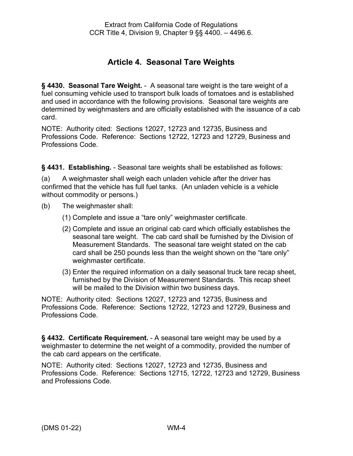### **Article 4. Seasonal Tare Weights**

<span id="page-7-1"></span><span id="page-7-0"></span>**§ 4430. Seasonal Tare Weight.** - A seasonal tare weight is the tare weight of a fuel consuming vehicle used to transport bulk loads of tomatoes and is established and used in accordance with the following provisions. Seasonal tare weights are determined by weighmasters and are officially established with the issuance of a cab card.

NOTE: Authority cited: Sections 12027, 12723 and 12735, Business and Professions Code. Reference: Sections 12722, 12723 and 12729, Business and Professions Code.

<span id="page-7-2"></span>**§ 4431. Establishing.** - Seasonal tare weights shall be established as follows:

(a) A weighmaster shall weigh each unladen vehicle after the driver has confirmed that the vehicle has full fuel tanks. (An unladen vehicle is a vehicle without commodity or persons.)

- (b) The weighmaster shall:
	- (1) Complete and issue a "tare only" weighmaster certificate.
	- (2) Complete and issue an original cab card which officially establishes the seasonal tare weight. The cab card shall be furnished by the Division of Measurement Standards. The seasonal tare weight stated on the cab card shall be 250 pounds less than the weight shown on the "tare only" weighmaster certificate.
	- (3) Enter the required information on a daily seasonal truck tare recap sheet, furnished by the Division of Measurement Standards. This recap sheet will be mailed to the Division within two business days.

NOTE: Authority cited: Sections 12027, 12723 and 12735, Business and Professions Code. Reference: Sections 12722, 12723 and 12729, Business and Professions Code.

<span id="page-7-3"></span>**§ 4432. Certificate Requirement.** - A seasonal tare weight may be used by a weighmaster to determine the net weight of a commodity, provided the number of the cab card appears on the certificate.

NOTE: Authority cited: Sections 12027, 12723 and 12735, Business and Professions Code. Reference: Sections 12715, 12722, 12723 and 12729, Business and Professions Code.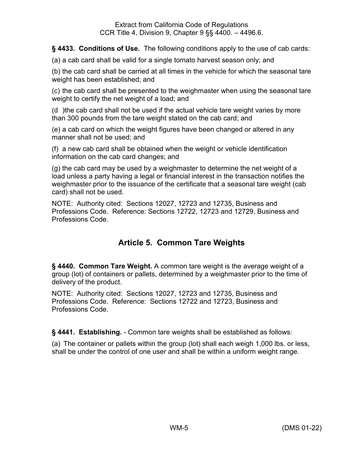<span id="page-8-0"></span>**§ 4433. Conditions of Use.** The following conditions apply to the use of cab cards:

(a) a cab card shall be valid for a single tomato harvest season only; and

(b) the cab card shall be carried at all times in the vehicle for which the seasonal tare weight has been established; and

(c) the cab card shall be presented to the weighmaster when using the seasonal tare weight to certify the net weight of a load; and

(d )the cab card shall not be used if the actual vehicle tare weight varies by more than 300 pounds from the tare weight stated on the cab card; and

(e) a cab card on which the weight figures have been changed or altered in any manner shall not be used; and

(f) a new cab card shall be obtained when the weight or vehicle identification information on the cab card changes; and

(g) the cab card may be used by a weighmaster to determine the net weight of a load unless a party having a legal or financial interest in the transaction notifies the weighmaster prior to the issuance of the certificate that a seasonal tare weight (cab card) shall not be used.

NOTE: Authority cited: Sections 12027, 12723 and 12735, Business and Professions Code. Reference: Sections 12722, 12723 and 12729, Business and Professions Code.

### **Article 5. Common Tare Weights**

<span id="page-8-2"></span><span id="page-8-1"></span>**§ 4440. Common Tare Weight.** A common tare weight is the average weight of a group (lot) of containers or pallets, determined by a weighmaster prior to the time of delivery of the product.

NOTE: Authority cited: Sections 12027, 12723 and 12735, Business and Professions Code. Reference: Sections 12722 and 12723, Business and Professions Code.

<span id="page-8-3"></span>**§ 4441. Establishing.** - Common tare weights shall be established as follows:

(a) The container or pallets within the group (lot) shall each weigh 1,000 lbs. or less, shall be under the control of one user and shall be within a uniform weight range.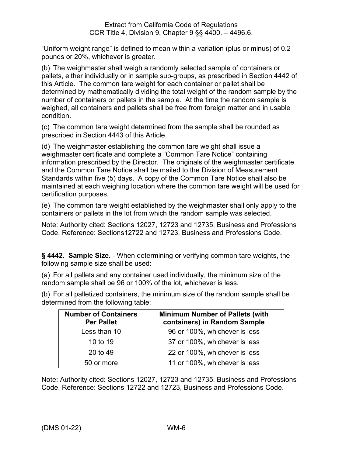"Uniform weight range" is defined to mean within a variation (plus or minus) of 0.2 pounds or 20%, whichever is greater.

(b) The weighmaster shall weigh a randomly selected sample of containers or pallets, either individually or in sample sub-groups, as prescribed in Section 4442 of this Article. The common tare weight for each container or pallet shall be determined by mathematically dividing the total weight of the random sample by the number of containers or pallets in the sample. At the time the random sample is weighed, all containers and pallets shall be free from foreign matter and in usable condition.

(c) The common tare weight determined from the sample shall be rounded as prescribed in Section 4443 of this Article.

(d) The weighmaster establishing the common tare weight shall issue a weighmaster certificate and complete a "Common Tare Notice" containing information prescribed by the Director. The originals of the weighmaster certificate and the Common Tare Notice shall be mailed to the Division of Measurement Standards within five (5) days. A copy of the Common Tare Notice shall also be maintained at each weighing location where the common tare weight will be used for certification purposes.

(e) The common tare weight established by the weighmaster shall only apply to the containers or pallets in the lot from which the random sample was selected.

Note: Authority cited: Sections 12027, 12723 and 12735, Business and Professions Code. Reference: Sections12722 and 12723, Business and Professions Code.

<span id="page-9-0"></span>**§ 4442. Sample Size.** - When determining or verifying common tare weights, the following sample size shall be used:

(a) For all pallets and any container used individually, the minimum size of the random sample shall be 96 or 100% of the lot, whichever is less.

(b) For all palletized containers, the minimum size of the random sample shall be determined from the following table:

| <b>Number of Containers</b><br><b>Per Pallet</b> | <b>Minimum Number of Pallets (with</b><br>containers) in Random Sample |
|--------------------------------------------------|------------------------------------------------------------------------|
| Less than 10                                     | 96 or 100%, whichever is less                                          |
| 10 to 19                                         | 37 or 100%, whichever is less                                          |
| 20 to 49                                         | 22 or 100%, whichever is less                                          |
| 50 or more                                       | 11 or 100%, whichever is less                                          |

Note: Authority cited: Sections 12027, 12723 and 12735, Business and Professions Code. Reference: Sections 12722 and 12723, Business and Professions Code.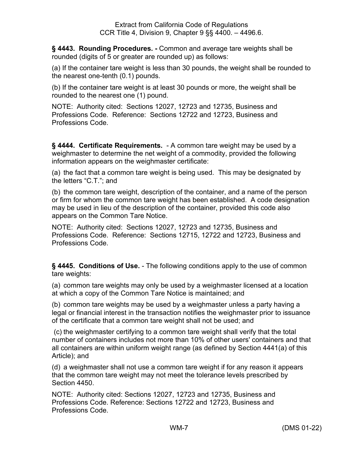<span id="page-10-0"></span>**§ 4443. Rounding Procedures. -** Common and average tare weights shall be rounded (digits of 5 or greater are rounded up) as follows:

(a) If the container tare weight is less than 30 pounds, the weight shall be rounded to the nearest one-tenth (0.1) pounds.

(b) If the container tare weight is at least 30 pounds or more, the weight shall be rounded to the nearest one (1) pound.

NOTE: Authority cited: Sections 12027, 12723 and 12735, Business and Professions Code. Reference: Sections 12722 and 12723, Business and Professions Code.

<span id="page-10-1"></span>**§ 4444. Certificate Requirements.** - A common tare weight may be used by a weighmaster to determine the net weight of a commodity, provided the following information appears on the weighmaster certificate:

(a) the fact that a common tare weight is being used. This may be designated by the letters "C.T."; and

(b) the common tare weight, description of the container, and a name of the person or firm for whom the common tare weight has been established. A code designation may be used in lieu of the description of the container, provided this code also appears on the Common Tare Notice.

NOTE: Authority cited: Sections 12027, 12723 and 12735, Business and Professions Code. Reference: Sections 12715, 12722 and 12723, Business and Professions Code.

<span id="page-10-2"></span>**§ 4445. Conditions of Use.** - The following conditions apply to the use of common tare weights:

(a) common tare weights may only be used by a weighmaster licensed at a location at which a copy of the Common Tare Notice is maintained; and

(b) common tare weights may be used by a weighmaster unless a party having a legal or financial interest in the transaction notifies the weighmaster prior to issuance of the certificate that a common tare weight shall not be used; and

(c) the weighmaster certifying to a common tare weight shall verify that the total number of containers includes not more than 10% of other users' containers and that all containers are within uniform weight range (as defined by Section 4441(a) of this Article); and

(d) a weighmaster shall not use a common tare weight if for any reason it appears that the common tare weight may not meet the tolerance levels prescribed by Section 4450.

NOTE: Authority cited: Sections 12027, 12723 and 12735, Business and Professions Code. Reference: Sections 12722 and 12723, Business and Professions Code.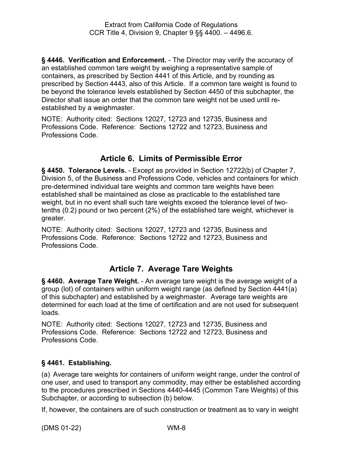<span id="page-11-0"></span>**§ 4446. Verification and Enforcement.** - The Director may verify the accuracy of an established common tare weight by weighing a representative sample of containers, as prescribed by Section 4441 of this Article, and by rounding as prescribed by Section 4443, also of this Article. If a common tare weight is found to be beyond the tolerance levels established by Section 4450 of this subchapter, the Director shall issue an order that the common tare weight not be used until reestablished by a weighmaster.

NOTE: Authority cited: Sections 12027, 12723 and 12735, Business and Professions Code. Reference: Sections 12722 and 12723, Business and Professions Code.

### **Article 6. Limits of Permissible Error**

<span id="page-11-2"></span><span id="page-11-1"></span>**§ 4450. Tolerance Levels.** - Except as provided in Section 12722(b) of Chapter 7, Division 5, of the Business and Professions Code, vehicles and containers for which pre-determined individual tare weights and common tare weights have been established shall be maintained as close as practicable to the established tare weight, but in no event shall such tare weights exceed the tolerance level of twotenths (0.2) pound or two percent (2%) of the established tare weight, whichever is greater.

NOTE: Authority cited: Sections 12027, 12723 and 12735, Business and Professions Code. Reference: Sections 12722 and 12723, Business and Professions Code.

### **Article 7. Average Tare Weights**

<span id="page-11-4"></span><span id="page-11-3"></span>**§ 4460. Average Tare Weight.** - An average tare weight is the average weight of a group (lot) of containers within uniform weight range (as defined by Section 4441(a) of this subchapter) and established by a weighmaster. Average tare weights are determined for each load at the time of certification and are not used for subsequent loads.

NOTE: Authority cited: Sections 12027, 12723 and 12735, Business and Professions Code. Reference: Sections 12722 and 12723, Business and Professions Code.

### <span id="page-11-5"></span>**§ 4461. Establishing.**

(a) Average tare weights for containers of uniform weight range, under the control of one user, and used to transport any commodity, may either be established according to the procedures prescribed in Sections 4440-4445 (Common Tare Weights) of this Subchapter, or according to subsection (b) below.

If, however, the containers are of such construction or treatment as to vary in weight

(DMS 01-22) WM-8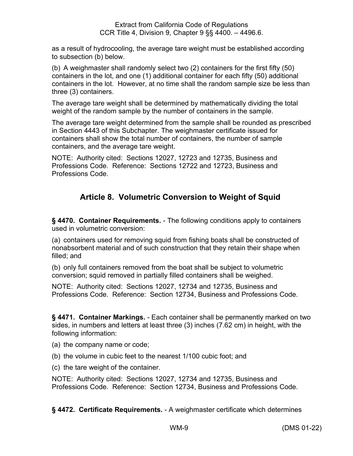as a result of hydrocooling, the average tare weight must be established according to subsection (b) below.

(b) A weighmaster shall randomly select two (2) containers for the first fifty (50) containers in the lot, and one (1) additional container for each fifty (50) additional containers in the lot. However, at no time shall the random sample size be less than three (3) containers.

The average tare weight shall be determined by mathematically dividing the total weight of the random sample by the number of containers in the sample.

The average tare weight determined from the sample shall be rounded as prescribed in Section 4443 of this Subchapter. The weighmaster certificate issued for containers shall show the total number of containers, the number of sample containers, and the average tare weight.

NOTE: Authority cited: Sections 12027, 12723 and 12735, Business and Professions Code. Reference: Sections 12722 and 12723, Business and Professions Code.

## **Article 8. Volumetric Conversion to Weight of Squid**

<span id="page-12-1"></span><span id="page-12-0"></span>**§ 4470. Container Requirements.** - The following conditions apply to containers used in volumetric conversion:

(a) containers used for removing squid from fishing boats shall be constructed of nonabsorbent material and of such construction that they retain their shape when filled; and

(b) only full containers removed from the boat shall be subject to volumetric conversion; squid removed in partially filled containers shall be weighed.

NOTE: Authority cited: Sections 12027, 12734 and 12735, Business and Professions Code. Reference: Section 12734, Business and Professions Code.

<span id="page-12-2"></span>**§ 4471. Container Markings.** - Each container shall be permanently marked on two sides, in numbers and letters at least three (3) inches (7.62 cm) in height, with the following information:

- (a) the company name or code;
- (b) the volume in cubic feet to the nearest 1/100 cubic foot; and
- (c) the tare weight of the container.

NOTE: Authority cited: Sections 12027, 12734 and 12735, Business and Professions Code. Reference: Section 12734, Business and Professions Code.

<span id="page-12-3"></span>**§ 4472. Certificate Requirements.** - A weighmaster certificate which determines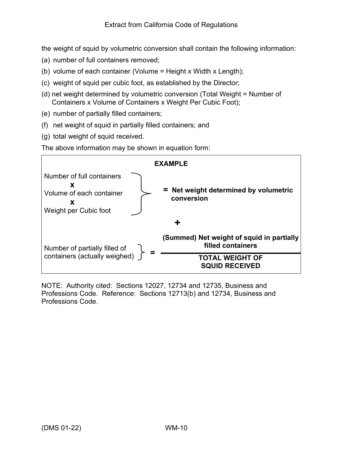the weight of squid by volumetric conversion shall contain the following information:

- (a) number of full containers removed;
- (b) volume of each container (Volume = Height x Width x Length);
- (c) weight of squid per cubic foot, as established by the Director;
- (d) net weight determined by volumetric conversion (Total Weight = Number of Containers x Volume of Containers x Weight Per Cubic Foot);
- (e) number of partially filled containers;
- (f) net weight of squid in partially filled containers; and
- (g) total weight of squid received.

The above information may be shown in equation form:



<span id="page-13-0"></span>NOTE: Authority cited: Sections 12027, 12734 and 12735, Business and Professions Code. Reference: Sections 12713(b) and 12734, Business and Professions Code.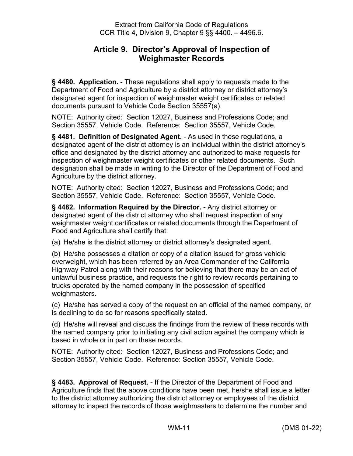### **Article 9. Director's Approval of Inspection of Weighmaster Records**

<span id="page-14-0"></span>**§ 4480. Application.** - These regulations shall apply to requests made to the Department of Food and Agriculture by a district attorney or district attorney's designated agent for inspection of weighmaster weight certificates or related documents pursuant to Vehicle Code Section 35557(a).

NOTE: Authority cited: Section 12027, Business and Professions Code; and Section 35557, Vehicle Code. Reference: Section 35557, Vehicle Code.

<span id="page-14-1"></span>**§ 4481. Definition of Designated Agent.** - As used in these regulations, a designated agent of the district attorney is an individual within the district attorney's office and designated by the district attorney and authorized to make requests for inspection of weighmaster weight certificates or other related documents. Such designation shall be made in writing to the Director of the Department of Food and Agriculture by the district attorney.

NOTE: Authority cited: Section 12027, Business and Professions Code; and Section 35557, Vehicle Code. Reference: Section 35557, Vehicle Code.

<span id="page-14-2"></span>**§ 4482. Information Required by the Director.** - Any district attorney or designated agent of the district attorney who shall request inspection of any weighmaster weight certificates or related documents through the Department of Food and Agriculture shall certify that:

(a) He/she is the district attorney or district attorney's designated agent.

(b) He/she possesses a citation or copy of a citation issued for gross vehicle overweight, which has been referred by an Area Commander of the California Highway Patrol along with their reasons for believing that there may be an act of unlawful business practice, and requests the right to review records pertaining to trucks operated by the named company in the possession of specified weighmasters.

(c) He/she has served a copy of the request on an official of the named company, or is declining to do so for reasons specifically stated.

(d) He/she will reveal and discuss the findings from the review of these records with the named company prior to initiating any civil action against the company which is based in whole or in part on these records.

NOTE: Authority cited: Section 12027, Business and Professions Code; and Section 35557, Vehicle Code. Reference: Section 35557, Vehicle Code.

<span id="page-14-3"></span>**§ 4483. Approval of Request.** - If the Director of the Department of Food and Agriculture finds that the above conditions have been met, he/she shall issue a letter to the district attorney authorizing the district attorney or employees of the district attorney to inspect the records of those weighmasters to determine the number and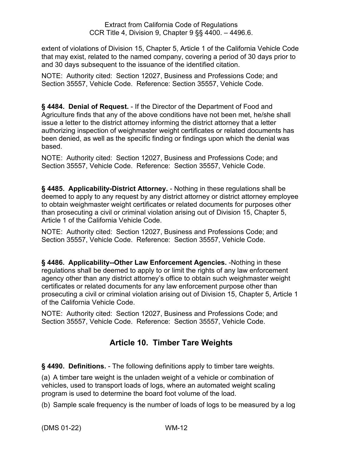extent of violations of Division 15, Chapter 5, Article 1 of the California Vehicle Code that may exist, related to the named company, covering a period of 30 days prior to and 30 days subsequent to the issuance of the identified citation.

NOTE: Authority cited: Section 12027, Business and Professions Code; and Section 35557, Vehicle Code. Reference: Section 35557, Vehicle Code.

<span id="page-15-0"></span>**§ 4484. Denial of Request.** - If the Director of the Department of Food and Agriculture finds that any of the above conditions have not been met, he/she shall issue a letter to the district attorney informing the district attorney that a letter authorizing inspection of weighmaster weight certificates or related documents has been denied, as well as the specific finding or findings upon which the denial was based.

NOTE: Authority cited: Section 12027, Business and Professions Code; and Section 35557, Vehicle Code. Reference: Section 35557, Vehicle Code.

<span id="page-15-1"></span>**§ 4485. Applicability-District Attorney.** - Nothing in these regulations shall be deemed to apply to any request by any district attorney or district attorney employee to obtain weighmaster weight certificates or related documents for purposes other than prosecuting a civil or criminal violation arising out of Division 15, Chapter 5, Article 1 of the California Vehicle Code.

NOTE: Authority cited: Section 12027, Business and Professions Code; and Section 35557, Vehicle Code. Reference: Section 35557, Vehicle Code.

<span id="page-15-2"></span>**§ 4486. Applicability--Other Law Enforcement Agencies.** -Nothing in these regulations shall be deemed to apply to or limit the rights of any law enforcement agency other than any district attorney's office to obtain such weighmaster weight certificates or related documents for any law enforcement purpose other than prosecuting a civil or criminal violation arising out of Division 15, Chapter 5, Article 1 of the California Vehicle Code.

NOTE: Authority cited: Section 12027, Business and Professions Code; and Section 35557, Vehicle Code. Reference: Section 35557, Vehicle Code.

# **Article 10. Timber Tare Weights**

<span id="page-15-4"></span><span id="page-15-3"></span>**§ 4490. Definitions.** - The following definitions apply to timber tare weights.

(a) A timber tare weight is the unladen weight of a vehicle or combination of vehicles, used to transport loads of logs, where an automated weight scaling program is used to determine the board foot volume of the load.

(b) Sample scale frequency is the number of loads of logs to be measured by a log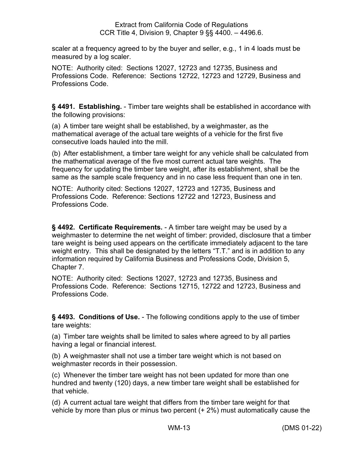scaler at a frequency agreed to by the buyer and seller, e.g., 1 in 4 loads must be measured by a log scaler.

NOTE: Authority cited: Sections 12027, 12723 and 12735, Business and Professions Code. Reference: Sections 12722, 12723 and 12729, Business and Professions Code.

<span id="page-16-0"></span>**§ 4491. Establishing.** - Timber tare weights shall be established in accordance with the following provisions:

(a) A timber tare weight shall be established, by a weighmaster, as the mathematical average of the actual tare weights of a vehicle for the first five consecutive loads hauled into the mill.

(b) After establishment, a timber tare weight for any vehicle shall be calculated from the mathematical average of the five most current actual tare weights. The frequency for updating the timber tare weight, after its establishment, shall be the same as the sample scale frequency and in no case less frequent than one in ten.

NOTE: Authority cited: Sections 12027, 12723 and 12735, Business and Professions Code. Reference: Sections 12722 and 12723, Business and Professions Code.

<span id="page-16-1"></span>**§ 4492. Certificate Requirements.** - A timber tare weight may be used by a weighmaster to determine the net weight of timber: provided, disclosure that a timber tare weight is being used appears on the certificate immediately adjacent to the tare weight entry. This shall be designated by the letters "T.T." and is in addition to any information required by California Business and Professions Code, Division 5, Chapter 7.

NOTE: Authority cited: Sections 12027, 12723 and 12735, Business and Professions Code. Reference: Sections 12715, 12722 and 12723, Business and Professions Code.

<span id="page-16-2"></span>**§ 4493. Conditions of Use.** - The following conditions apply to the use of timber tare weights:

(a) Timber tare weights shall be limited to sales where agreed to by all parties having a legal or financial interest.

(b) A weighmaster shall not use a timber tare weight which is not based on weighmaster records in their possession.

(c) Whenever the timber tare weight has not been updated for more than one hundred and twenty (120) days, a new timber tare weight shall be established for that vehicle.

(d) A current actual tare weight that differs from the timber tare weight for that vehicle by more than plus or minus two percent (+ 2%) must automatically cause the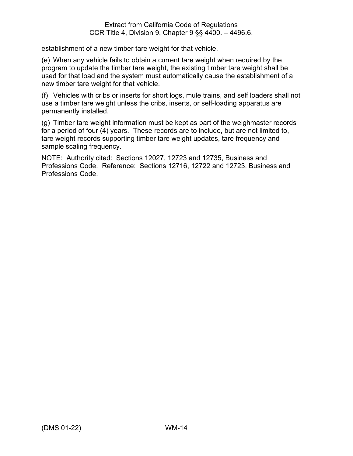establishment of a new timber tare weight for that vehicle.

(e) When any vehicle fails to obtain a current tare weight when required by the program to update the timber tare weight, the existing timber tare weight shall be used for that load and the system must automatically cause the establishment of a new timber tare weight for that vehicle.

(f) Vehicles with cribs or inserts for short logs, mule trains, and self loaders shall not use a timber tare weight unless the cribs, inserts, or self-loading apparatus are permanently installed.

(g) Timber tare weight information must be kept as part of the weighmaster records for a period of four (4) years. These records are to include, but are not limited to, tare weight records supporting timber tare weight updates, tare frequency and sample scaling frequency.

NOTE: Authority cited: Sections 12027, 12723 and 12735, Business and Professions Code. Reference: Sections 12716, 12722 and 12723, Business and Professions Code.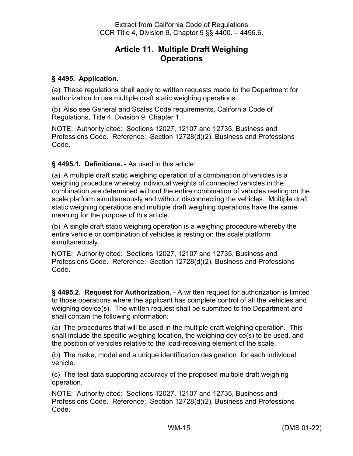### **Article 11. Multiple Draft Weighing Operations**

#### <span id="page-18-1"></span><span id="page-18-0"></span>**§ 4495. Application.**

(a) These regulations shall apply to written requests made to the Department for authorization to use multiple draft static weighing operations.

(b) Also see General and Scales Code requirements, California Code of Regulations, Title 4, Division 9, Chapter 1.

NOTE: Authority cited: Sections 12027, 12107 and 12735, Business and Professions Code. Reference: Section 12728(d)(2), Business and Professions Code.

#### <span id="page-18-2"></span>**§ 4495.1. Definitions.** - As used in this article:

(a) A multiple draft static weighing operation of a combination of vehicles is a weighing procedure whereby individual weights of connected vehicles in the combination are determined without the entire combination of vehicles resting on the scale platform simultaneously and without disconnecting the vehicles. Multiple draft static weighing operations and multiple draft weighing operations have the same meaning for the purpose of this article.

(b) A single draft static weighing operation is a weighing procedure whereby the entire vehicle or combination of vehicles is resting on the scale platform simultaneously.

NOTE: Authority cited: Sections 12027, 12107 and 12735, Business and Professions Code. Reference: Section 12728(d)(2), Business and Professions Code.

<span id="page-18-3"></span>**§ 4495.2. Request for Authorization.** - A written request for authorization is limited to those operations where the applicant has complete control of all the vehicles and weighing device(s). The written request shall be submitted to the Department and shall contain the following information:

(a) The procedures that will be used in the multiple draft weighing operation. This shall include the specific weighing location, the weighing device(s) to be used, and the position of vehicles relative to the load-receiving element of the scale.

(b) The make, model and a unique identification designation for each individual vehicle.

(c) The test data supporting accuracy of the proposed multiple draft weighing operation.

NOTE: Authority cited: Sections 12027, 12107 and 12735, Business and Professions Code. Reference: Section 12728(d)(2), Business and Professions Code.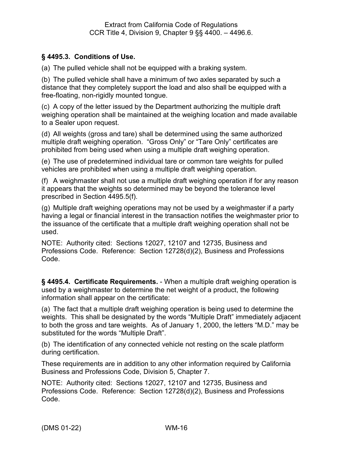#### <span id="page-19-0"></span>**§ 4495.3. Conditions of Use.**

(a) The pulled vehicle shall not be equipped with a braking system.

(b) The pulled vehicle shall have a minimum of two axles separated by such a distance that they completely support the load and also shall be equipped with a free-floating, non-rigidly mounted tongue.

(c) A copy of the letter issued by the Department authorizing the multiple draft weighing operation shall be maintained at the weighing location and made available to a Sealer upon request.

(d) All weights (gross and tare) shall be determined using the same authorized multiple draft weighing operation. "Gross Only" or "Tare Only" certificates are prohibited from being used when using a multiple draft weighing operation.

(e) The use of predetermined individual tare or common tare weights for pulled vehicles are prohibited when using a multiple draft weighing operation.

(f) A weighmaster shall not use a multiple draft weighing operation if for any reason it appears that the weights so determined may be beyond the tolerance level prescribed in Section 4495.5(f).

(g) Multiple draft weighing operations may not be used by a weighmaster if a party having a legal or financial interest in the transaction notifies the weighmaster prior to the issuance of the certificate that a multiple draft weighing operation shall not be used.

NOTE: Authority cited: Sections 12027, 12107 and 12735, Business and Professions Code. Reference: Section 12728(d)(2), Business and Professions Code.

<span id="page-19-1"></span>**§ 4495.4. Certificate Requirements.** - When a multiple draft weighing operation is used by a weighmaster to determine the net weight of a product, the following information shall appear on the certificate:

(a) The fact that a multiple draft weighing operation is being used to determine the weights. This shall be designated by the words "Multiple Draft" immediately adjacent to both the gross and tare weights. As of January 1, 2000, the letters "M.D." may be substituted for the words "Multiple Draft".

(b) The identification of any connected vehicle not resting on the scale platform during certification.

These requirements are in addition to any other information required by California Business and Professions Code, Division 5, Chapter 7.

NOTE: Authority cited: Sections 12027, 12107 and 12735, Business and Professions Code. Reference: Section 12728(d)(2), Business and Professions Code.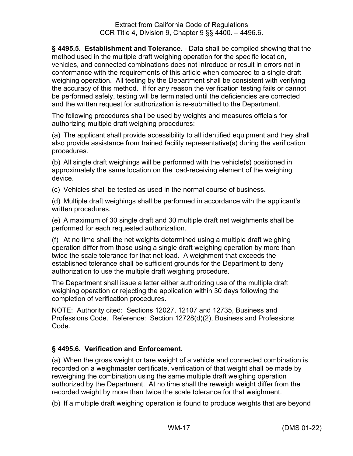<span id="page-20-0"></span>**§ 4495.5. Establishment and Tolerance.** - Data shall be compiled showing that the method used in the multiple draft weighing operation for the specific location, vehicles, and connected combinations does not introduce or result in errors not in conformance with the requirements of this article when compared to a single draft weighing operation. All testing by the Department shall be consistent with verifying the accuracy of this method. If for any reason the verification testing fails or cannot be performed safely, testing will be terminated until the deficiencies are corrected and the written request for authorization is re-submitted to the Department.

The following procedures shall be used by weights and measures officials for authorizing multiple draft weighing procedures:

(a) The applicant shall provide accessibility to all identified equipment and they shall also provide assistance from trained facility representative(s) during the verification procedures.

(b) All single draft weighings will be performed with the vehicle(s) positioned in approximately the same location on the load-receiving element of the weighing device.

(c) Vehicles shall be tested as used in the normal course of business.

(d) Multiple draft weighings shall be performed in accordance with the applicant's written procedures.

(e) A maximum of 30 single draft and 30 multiple draft net weighments shall be performed for each requested authorization.

(f) At no time shall the net weights determined using a multiple draft weighing operation differ from those using a single draft weighing operation by more than twice the scale tolerance for that net load. A weighment that exceeds the established tolerance shall be sufficient grounds for the Department to deny authorization to use the multiple draft weighing procedure.

The Department shall issue a letter either authorizing use of the multiple draft weighing operation or rejecting the application within 30 days following the completion of verification procedures.

NOTE: Authority cited: Sections 12027, 12107 and 12735, Business and Professions Code. Reference: Section 12728(d)(2), Business and Professions Code.

### <span id="page-20-1"></span>**§ 4495.6. Verification and Enforcement.**

(a) When the gross weight or tare weight of a vehicle and connected combination is recorded on a weighmaster certificate, verification of that weight shall be made by reweighing the combination using the same multiple draft weighing operation authorized by the Department. At no time shall the reweigh weight differ from the recorded weight by more than twice the scale tolerance for that weighment.

(b) If a multiple draft weighing operation is found to produce weights that are beyond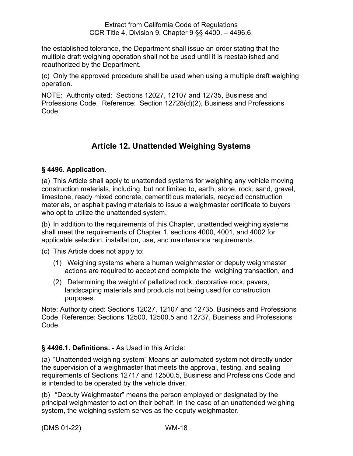the established tolerance, the Department shall issue an order stating that the multiple draft weighing operation shall not be used until it is reestablished and reauthorized by the Department.

(c) Only the approved procedure shall be used when using a multiple draft weighing operation.

NOTE: Authority cited: Sections 12027, 12107 and 12735, Business and Professions Code. Reference: Section 12728(d)(2), Business and Professions Code.

# **Article 12. Unattended Weighing Systems**

### <span id="page-21-1"></span><span id="page-21-0"></span>**§ 4496. Application.**

(a) This Article shall apply to unattended systems for weighing any vehicle moving construction materials, including, but not limited to, earth, stone, rock, sand, gravel, limestone, ready mixed concrete, cementitious materials, recycled construction materials, or asphalt paving materials to issue a weighmaster certificate to buyers who opt to utilize the unattended system.

(b) In addition to the requirements of this Chapter, unattended weighing systems shall meet the requirements of Chapter 1, sections 4000, 4001, and 4002 for applicable selection, installation, use, and maintenance requirements.

(c) This Article does not apply to:

- (1) Weighing systems where a human weighmaster or deputy weighmaster actions are required to accept and complete the weighing transaction, and
- (2) Determining the weight of palletized rock, decorative rock, pavers, landscaping materials and products not being used for construction purposes.

Note: Authority cited: Sections 12027, 12107 and 12735, Business and Professions Code. Reference: Sections 12500, 12500.5 and 12737, Business and Professions Code.

### <span id="page-21-2"></span>**§ 4496.1. Definitions.** - As Used in this Article:

(a) "Unattended weighing system" Means an automated system not directly under the supervision of a weighmaster that meets the approval, testing, and sealing requirements of Sections 12717 and 12500.5, Business and Professions Code and is intended to be operated by the vehicle driver.

(b) "Deputy Weighmaster" means the person employed or designated by the principal weighmaster to act on their behalf. In the case of an unattended weighing system, the weighing system serves as the deputy weighmaster.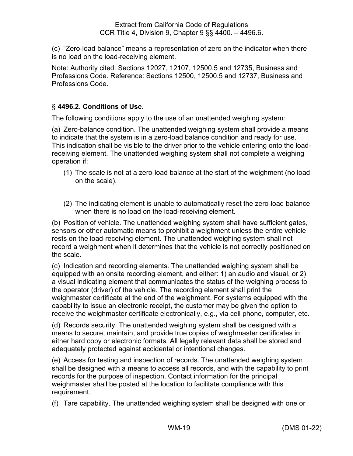(c) "Zero-load balance" means a representation of zero on the indicator when there is no load on the load-receiving element.

Note: Authority cited: Sections 12027, 12107, 12500.5 and 12735, Business and Professions Code. Reference: Sections 12500, 12500.5 and 12737, Business and Professions Code.

### <span id="page-22-0"></span>§ **4496.2. Conditions of Use.**

The following conditions apply to the use of an unattended weighing system:

(a) Zero-balance condition. The unattended weighing system shall provide a means to indicate that the system is in a zero-load balance condition and ready for use. This indication shall be visible to the driver prior to the vehicle entering onto the loadreceiving element. The unattended weighing system shall not complete a weighing operation if:

- (1) The scale is not at a zero-load balance at the start of the weighment (no load on the scale).
- (2) The indicating element is unable to automatically reset the zero-load balance when there is no load on the load-receiving element.

(b) Position of vehicle. The unattended weighing system shall have sufficient gates, sensors or other automatic means to prohibit a weighment unless the entire vehicle rests on the load-receiving element. The unattended weighing system shall not record a weighment when it determines that the vehicle is not correctly positioned on the scale.

(c) Indication and recording elements. The unattended weighing system shall be equipped with an onsite recording element, and either: 1) an audio and visual, or 2) a visual indicating element that communicates the status of the weighing process to the operator (driver) of the vehicle. The recording element shall print the weighmaster certificate at the end of the weighment. For systems equipped with the capability to issue an electronic receipt, the customer may be given the option to receive the weighmaster certificate electronically, e.g., via cell phone, computer, etc.

(d) Records security. The unattended weighing system shall be designed with a means to secure, maintain, and provide true copies of weighmaster certificates in either hard copy or electronic formats. All legally relevant data shall be stored and adequately protected against accidental or intentional changes.

(e) Access for testing and inspection of records. The unattended weighing system shall be designed with a means to access all records, and with the capability to print records for the purpose of inspection. Contact information for the principal weighmaster shall be posted at the location to facilitate compliance with this requirement.

(f) Tare capability. The unattended weighing system shall be designed with one or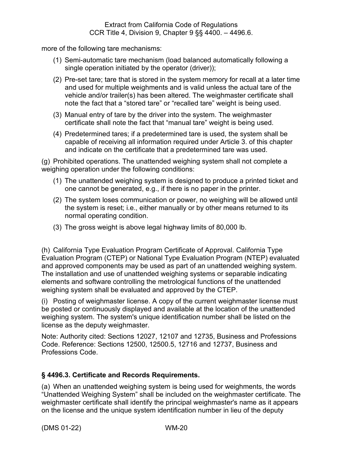more of the following tare mechanisms:

- (1) Semi-automatic tare mechanism (load balanced automatically following a single operation initiated by the operator (driver));
- (2) Pre-set tare; tare that is stored in the system memory for recall at a later time and used for multiple weighments and is valid unless the actual tare of the vehicle and/or trailer(s) has been altered. The weighmaster certificate shall note the fact that a "stored tare" or "recalled tare" weight is being used.
- (3) Manual entry of tare by the driver into the system. The weighmaster certificate shall note the fact that "manual tare" weight is being used.
- (4) Predetermined tares; if a predetermined tare is used, the system shall be capable of receiving all information required under Article 3. of this chapter and indicate on the certificate that a predetermined tare was used.

(g) Prohibited operations. The unattended weighing system shall not complete a weighing operation under the following conditions:

- (1) The unattended weighing system is designed to produce a printed ticket and one cannot be generated, e.g., if there is no paper in the printer.
- (2) The system loses communication or power, no weighing will be allowed until the system is reset; i.e., either manually or by other means returned to its normal operating condition.
- (3) The gross weight is above legal highway limits of 80,000 lb.

(h) California Type Evaluation Program Certificate of Approval. California Type Evaluation Program (CTEP) or National Type Evaluation Program (NTEP) evaluated and approved components may be used as part of an unattended weighing system. The installation and use of unattended weighing systems or separable indicating elements and software controlling the metrological functions of the unattended weighing system shall be evaluated and approved by the CTEP.

(i) Posting of weighmaster license. A copy of the current weighmaster license must be posted or continuously displayed and available at the location of the unattended weighing system. The system's unique identification number shall be listed on the license as the deputy weighmaster.

Note: Authority cited: Sections 12027, 12107 and 12735, Business and Professions Code. Reference: Sections 12500, 12500.5, 12716 and 12737, Business and Professions Code.

### <span id="page-23-0"></span>**§ 4496.3. Certificate and Records Requirements.**

(a) When an unattended weighing system is being used for weighments, the words "Unattended Weighing System" shall be included on the weighmaster certificate. The weighmaster certificate shall identify the principal weighmaster's name as it appears on the license and the unique system identification number in lieu of the deputy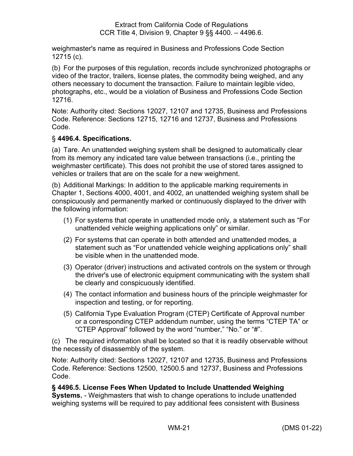weighmaster's name as required in Business and Professions Code Section 12715 (c).

(b) For the purposes of this regulation, records include synchronized photographs or video of the tractor, trailers, license plates, the commodity being weighed, and any others necessary to document the transaction. Failure to maintain legible video, photographs, etc., would be a violation of Business and Professions Code Section 12716.

Note: Authority cited: Sections 12027, 12107 and 12735, Business and Professions Code. Reference: Sections 12715, 12716 and 12737, Business and Professions Code.

### <span id="page-24-0"></span>§ **4496.4. Specifications.**

(a) Tare. An unattended weighing system shall be designed to automatically clear from its memory any indicated tare value between transactions (i.e., printing the weighmaster certificate). This does not prohibit the use of stored tares assigned to vehicles or trailers that are on the scale for a new weighment.

(b) Additional Markings: In addition to the applicable marking requirements in Chapter 1, Sections 4000, 4001, and 4002, an unattended weighing system shall be conspicuously and permanently marked or continuously displayed to the driver with the following information:

- (1) For systems that operate in unattended mode only, a statement such as "For unattended vehicle weighing applications only" or similar.
- (2) For systems that can operate in both attended and unattended modes, a statement such as "For unattended vehicle weighing applications only" shall be visible when in the unattended mode.
- (3) Operator (driver) instructions and activated controls on the system or through the driver's use of electronic equipment communicating with the system shall be clearly and conspicuously identified.
- (4) The contact information and business hours of the principle weighmaster for inspection and testing, or for reporting.
- (5) California Type Evaluation Program (CTEP) Certificate of Approval number or a corresponding CTEP addendum number, using the terms "CTEP TA" or "CTEP Approval" followed by the word "number," "No." or "#".

(c) The required information shall be located so that it is readily observable without the necessity of disassembly of the system.

Note: Authority cited: Sections 12027, 12107 and 12735, Business and Professions Code. Reference: Sections 12500, 12500.5 and 12737, Business and Professions Code.

### <span id="page-24-1"></span>**§ 4496.5. License Fees When Updated to Include Unattended Weighing**

**Systems.** - Weighmasters that wish to change operations to include unattended weighing systems will be required to pay additional fees consistent with Business